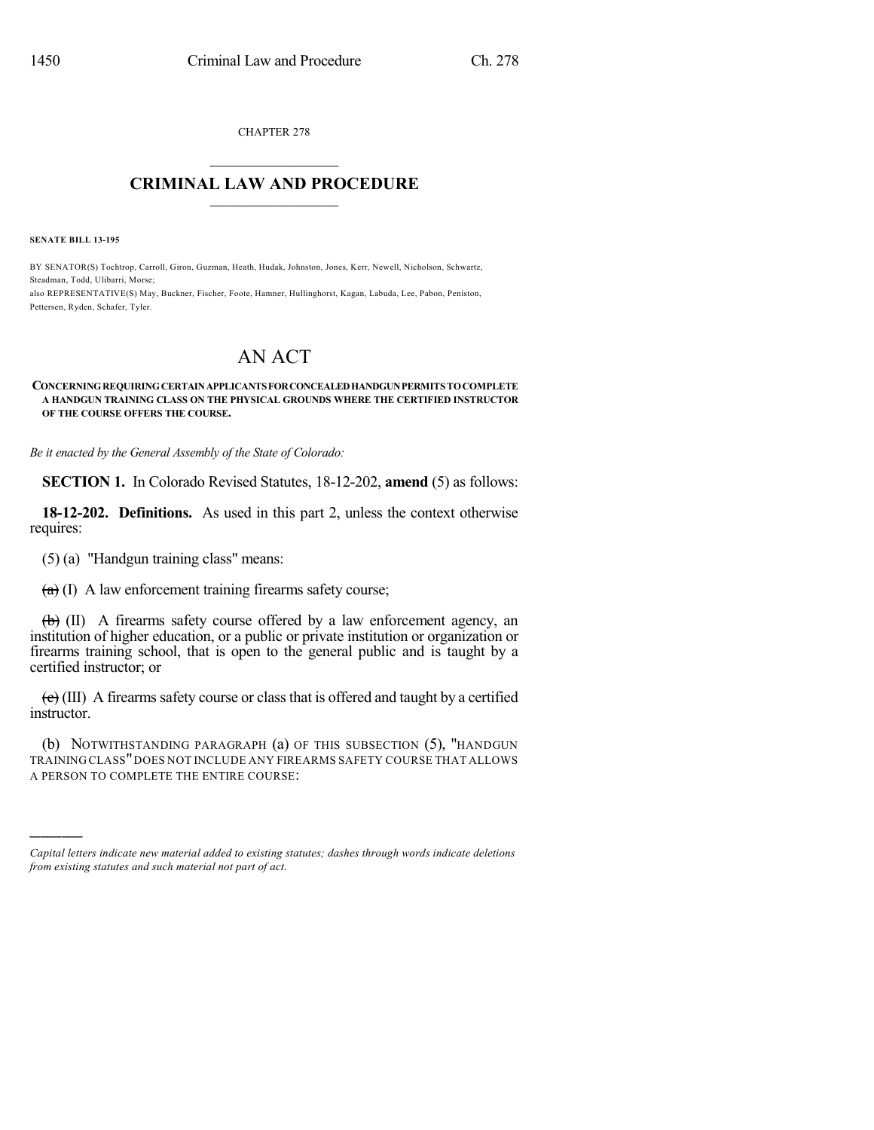CHAPTER 278  $\mathcal{L}_\text{max}$  . The set of the set of the set of the set of the set of the set of the set of the set of the set of the set of the set of the set of the set of the set of the set of the set of the set of the set of the set

## **CRIMINAL LAW AND PROCEDURE**  $\_$   $\_$   $\_$   $\_$   $\_$   $\_$   $\_$   $\_$   $\_$   $\_$

**SENATE BILL 13-195**

)))))

BY SENATOR(S) Tochtrop, Carroll, Giron, Guzman, Heath, Hudak, Johnston, Jones, Kerr, Newell, Nicholson, Schwartz, Steadman, Todd, Ulibarri, Morse;

also REPRESENTATIVE(S) May, Buckner, Fischer, Foote, Hamner, Hullinghorst, Kagan, Labuda, Lee, Pabon, Peniston, Pettersen, Ryden, Schafer, Tyler.

## AN ACT

## **CONCERNINGREQUIRINGCERTAINAPPLICANTSFORCONCEALEDHANDGUNPERMITSTOCOMPLETE A HANDGUN TRAINING CLASS ON THE PHYSICAL GROUNDS WHERE THE CERTIFIED INSTRUCTOR OF THE COURSE OFFERS THE COURSE.**

*Be it enacted by the General Assembly of the State of Colorado:*

**SECTION 1.** In Colorado Revised Statutes, 18-12-202, **amend** (5) as follows:

**18-12-202. Definitions.** As used in this part 2, unless the context otherwise requires:

(5) (a) "Handgun training class" means:

 $(a)$  (I) A law enforcement training firearms safety course;

 $\overline{(b)}$  (II) A firearms safety course offered by a law enforcement agency, an institution of higher education, or a public or private institution or organization or firearms training school, that is open to the general public and is taught by a certified instructor; or

 $(e)$  (III) A firearms safety course or class that is offered and taught by a certified instructor.

(b) NOTWITHSTANDING PARAGRAPH (a) OF THIS SUBSECTION (5), "HANDGUN TRAINING CLASS"DOES NOT INCLUDE ANY FIREARMS SAFETY COURSE THAT ALLOWS A PERSON TO COMPLETE THE ENTIRE COURSE:

*Capital letters indicate new material added to existing statutes; dashes through words indicate deletions from existing statutes and such material not part of act.*